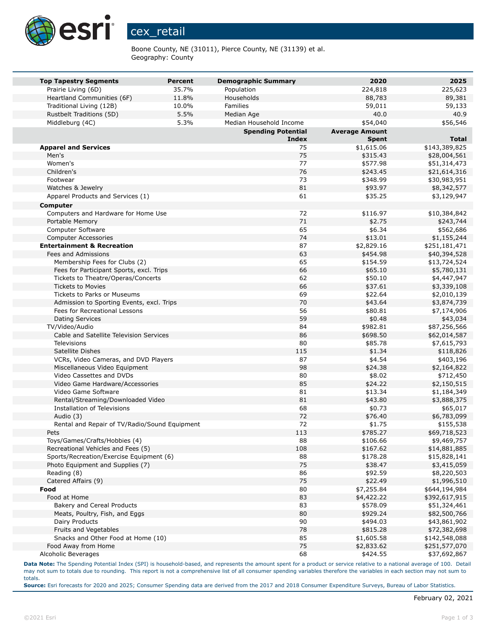

Boone County, NE (31011), Pierce County, NE (31139) et al. Geography: County

| <b>Top Tapestry Segments</b>                  | <b>Percent</b> | <b>Demographic Summary</b> | 2020                  | 2025          |
|-----------------------------------------------|----------------|----------------------------|-----------------------|---------------|
| Prairie Living (6D)                           | 35.7%          | Population                 | 224,818               | 225,623       |
| Heartland Communities (6F)                    | 11.8%          | Households                 | 88,783                | 89,381        |
| Traditional Living (12B)                      | 10.0%          | Families                   | 59,011                | 59,133        |
| Rustbelt Traditions (5D)                      | 5.5%           | Median Age                 | 40.0                  | 40.9          |
| Middleburg (4C)                               | 5.3%           | Median Household Income    | \$54,040              | \$56,546      |
|                                               |                | <b>Spending Potential</b>  | <b>Average Amount</b> |               |
|                                               |                | <b>Index</b>               | <b>Spent</b>          | <b>Total</b>  |
| <b>Apparel and Services</b>                   |                | 75                         | \$1,615.06            | \$143,389,825 |
| Men's                                         |                | 75                         | \$315.43              | \$28,004,561  |
| Women's                                       |                | 77                         | \$577.98              | \$51,314,473  |
| Children's                                    |                | 76                         | \$243.45              | \$21,614,316  |
| Footwear                                      |                | 73                         | \$348.99              | \$30,983,951  |
| Watches & Jewelry                             |                | 81                         | \$93.97               | \$8,342,577   |
| Apparel Products and Services (1)             |                | 61                         | \$35.25               | \$3,129,947   |
| <b>Computer</b>                               |                |                            |                       |               |
| Computers and Hardware for Home Use           |                | 72                         | \$116.97              | \$10,384,842  |
| Portable Memory                               |                | 71                         | \$2.75                | \$243,744     |
| Computer Software                             |                | 65                         | \$6.34                | \$562,686     |
| <b>Computer Accessories</b>                   |                | 74                         | \$13.01               | \$1,155,244   |
| <b>Entertainment &amp; Recreation</b>         |                | 87                         | \$2,829.16            | \$251,181,471 |
| Fees and Admissions                           |                | 63                         | \$454.98              | \$40,394,528  |
| Membership Fees for Clubs (2)                 |                | 65                         | \$154.59              | \$13,724,524  |
| Fees for Participant Sports, excl. Trips      |                | 66                         | \$65.10               | \$5,780,131   |
| Tickets to Theatre/Operas/Concerts            |                | 62                         | \$50.10               | \$4,447,947   |
| <b>Tickets to Movies</b>                      |                | 66                         | \$37.61               | \$3,339,108   |
| <b>Tickets to Parks or Museums</b>            |                | 69                         | \$22.64               | \$2,010,139   |
| Admission to Sporting Events, excl. Trips     |                | 70                         | \$43.64               | \$3,874,739   |
| Fees for Recreational Lessons                 |                | 56                         | \$80.81               | \$7,174,906   |
| <b>Dating Services</b>                        |                | 59                         | \$0.48                | \$43,034      |
| TV/Video/Audio                                |                | 84                         | \$982.81              | \$87,256,566  |
| Cable and Satellite Television Services       |                | 86                         | \$698.50              | \$62,014,587  |
| Televisions                                   |                | 80                         | \$85.78               | \$7,615,793   |
| Satellite Dishes                              |                | 115                        | \$1.34                | \$118,826     |
| VCRs, Video Cameras, and DVD Players          |                | 87                         | \$4.54                | \$403,196     |
| Miscellaneous Video Equipment                 |                | 98                         | \$24.38               | \$2,164,822   |
| Video Cassettes and DVDs                      |                | 80                         | \$8.02                | \$712,450     |
| Video Game Hardware/Accessories               |                | 85                         | \$24.22               | \$2,150,515   |
| Video Game Software                           |                | 81                         | \$13.34               | \$1,184,349   |
| Rental/Streaming/Downloaded Video             |                | 81                         | \$43.80               | \$3,888,375   |
| Installation of Televisions                   |                | 68                         | \$0.73                | \$65,017      |
| Audio (3)                                     |                | 72                         | \$76.40               | \$6,783,099   |
| Rental and Repair of TV/Radio/Sound Equipment |                | 72                         | \$1.75                | \$155,538     |
| Pets                                          |                | 113                        | \$785.27              | \$69,718,523  |
| Toys/Games/Crafts/Hobbies (4)                 |                | 88                         | \$106.66              | \$9,469,757   |
| Recreational Vehicles and Fees (5)            |                | 108                        | \$167.62              | \$14,881,885  |
| Sports/Recreation/Exercise Equipment (6)      |                | 88                         | \$178.28              | \$15,828,141  |
| Photo Equipment and Supplies (7)              |                | 75                         | \$38.47               | \$3,415,059   |
| Reading (8)                                   |                | 86                         | \$92.59               | \$8,220,503   |
| Catered Affairs (9)                           |                | 75                         | \$22.49               | \$1,996,510   |
| Food                                          |                | 80                         | \$7,255.84            | \$644,194,984 |
| Food at Home                                  |                | 83                         | \$4,422.22            | \$392,617,915 |
| <b>Bakery and Cereal Products</b>             |                | 83                         | \$578.09              | \$51,324,461  |
| Meats, Poultry, Fish, and Eggs                |                | 80                         | \$929.24              | \$82,500,766  |
| Dairy Products                                |                | 90                         | \$494.03              | \$43,861,902  |
| Fruits and Vegetables                         |                | 78                         | \$815.28              | \$72,382,698  |
| Snacks and Other Food at Home (10)            |                | 85                         | \$1,605.58            | \$142,548,088 |
| Food Away from Home                           |                | 75                         | \$2,833.62            | \$251,577,070 |
| Alcoholic Beverages                           |                | 68                         | \$424.55              | \$37,692,867  |

**Data Note:** The Spending Potential Index (SPI) is household-based, and represents the amount spent for a product or service relative to a national average of 100. Detail may not sum to totals due to rounding. This report is not a comprehensive list of all consumer spending variables therefore the variables in each section may not sum to totals.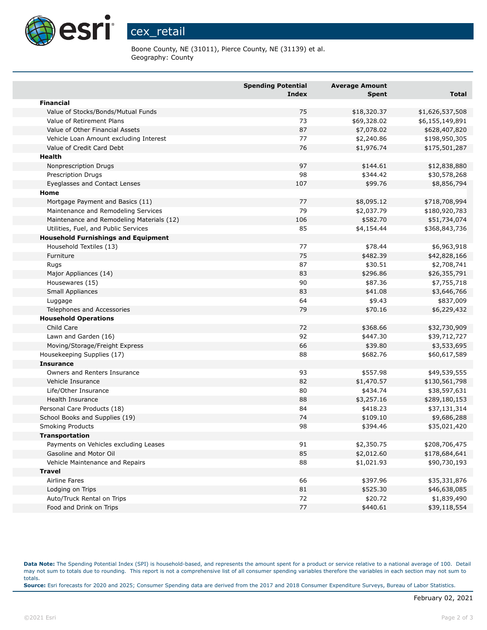

Boone County, NE (31011), Pierce County, NE (31139) et al. Geography: County

|                                            | <b>Spending Potential</b><br><b>Index</b> | <b>Average Amount</b><br><b>Spent</b> | <b>Total</b>    |
|--------------------------------------------|-------------------------------------------|---------------------------------------|-----------------|
| <b>Financial</b>                           |                                           |                                       |                 |
| Value of Stocks/Bonds/Mutual Funds         | 75                                        | \$18,320.37                           | \$1,626,537,508 |
| Value of Retirement Plans                  | 73                                        | \$69,328.02                           | \$6,155,149,891 |
| Value of Other Financial Assets            | 87                                        | \$7,078.02                            | \$628,407,820   |
| Vehicle Loan Amount excluding Interest     | 77                                        | \$2,240.86                            | \$198,950,305   |
| Value of Credit Card Debt                  | 76                                        | \$1,976.74                            | \$175,501,287   |
| Health                                     |                                           |                                       |                 |
| Nonprescription Drugs                      | 97                                        | \$144.61                              | \$12,838,880    |
| Prescription Drugs                         | 98                                        | \$344.42                              | \$30,578,268    |
| Eyeglasses and Contact Lenses              | 107                                       | \$99.76                               | \$8,856,794     |
| Home                                       |                                           |                                       |                 |
| Mortgage Payment and Basics (11)           | 77                                        | \$8,095.12                            | \$718,708,994   |
| Maintenance and Remodeling Services        | 79                                        | \$2,037.79                            | \$180,920,783   |
| Maintenance and Remodeling Materials (12)  | 106                                       | \$582.70                              | \$51,734,074    |
| Utilities, Fuel, and Public Services       | 85                                        | \$4,154.44                            | \$368,843,736   |
| <b>Household Furnishings and Equipment</b> |                                           |                                       |                 |
| Household Textiles (13)                    | 77                                        | \$78.44                               | \$6,963,918     |
| Furniture                                  | 75                                        | \$482.39                              | \$42,828,166    |
| Rugs                                       | 87                                        | \$30.51                               | \$2,708,741     |
| Major Appliances (14)                      | 83                                        | \$296.86                              | \$26,355,791    |
| Housewares (15)                            | 90                                        | \$87.36                               | \$7,755,718     |
| Small Appliances                           | 83                                        | \$41.08                               | \$3,646,766     |
| Luggage                                    | 64                                        | \$9.43                                | \$837,009       |
| Telephones and Accessories                 | 79                                        | \$70.16                               | \$6,229,432     |
| <b>Household Operations</b>                |                                           |                                       |                 |
| Child Care                                 | 72                                        | \$368.66                              | \$32,730,909    |
| Lawn and Garden (16)                       | 92                                        | \$447.30                              | \$39,712,727    |
| Moving/Storage/Freight Express             | 66                                        | \$39.80                               | \$3,533,695     |
| Housekeeping Supplies (17)                 | 88                                        | \$682.76                              | \$60,617,589    |
| <b>Insurance</b>                           |                                           |                                       |                 |
| Owners and Renters Insurance               | 93                                        | \$557.98                              | \$49,539,555    |
| Vehicle Insurance                          | 82                                        | \$1,470.57                            | \$130,561,798   |
| Life/Other Insurance                       | 80                                        | \$434.74                              | \$38,597,631    |
| Health Insurance                           | 88                                        | \$3,257.16                            | \$289,180,153   |
| Personal Care Products (18)                | 84                                        | \$418.23                              | \$37,131,314    |
| School Books and Supplies (19)             | 74                                        | \$109.10                              | \$9,686,288     |
| <b>Smoking Products</b>                    | 98                                        | \$394.46                              | \$35,021,420    |
| <b>Transportation</b>                      |                                           |                                       |                 |
| Payments on Vehicles excluding Leases      | 91                                        | \$2,350.75                            | \$208,706,475   |
| Gasoline and Motor Oil                     | 85                                        | \$2,012.60                            | \$178,684,641   |
| Vehicle Maintenance and Repairs            | 88                                        | \$1,021.93                            | \$90,730,193    |
| <b>Travel</b>                              |                                           |                                       |                 |
| Airline Fares                              | 66                                        | \$397.96                              | \$35,331,876    |
| Lodging on Trips                           | 81                                        | \$525.30                              | \$46,638,085    |
| Auto/Truck Rental on Trips                 | 72                                        | \$20.72                               | \$1,839,490     |
| Food and Drink on Trips                    | 77                                        | \$440.61                              | \$39,118,554    |

**Data Note:** The Spending Potential Index (SPI) is household-based, and represents the amount spent for a product or service relative to a national average of 100. Detail may not sum to totals due to rounding. This report is not a comprehensive list of all consumer spending variables therefore the variables in each section may not sum to totals. **Source:** Esri forecasts for 2020 and 2025; Consumer Spending data are derived from the 2017 and 2018 Consumer Expenditure Surveys, Bureau of Labor Statistics.